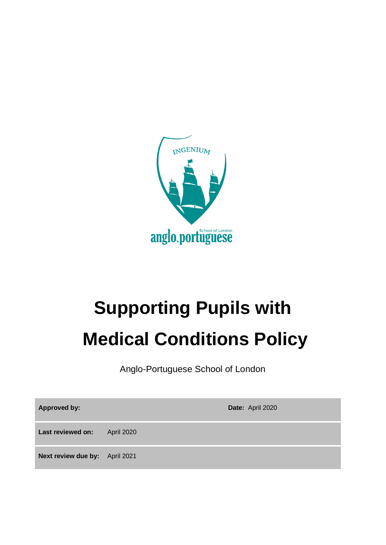

# **Supporting Pupils with Medical Conditions Policy**

Anglo-Portuguese School of London

**Approved by: Date:** April 2020 **Last reviewed on:** April 2020 **Next review due by:** April 2021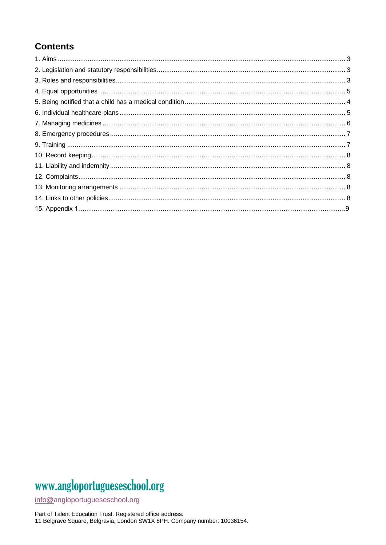### **Contents**

## www.angloportugueseschool.org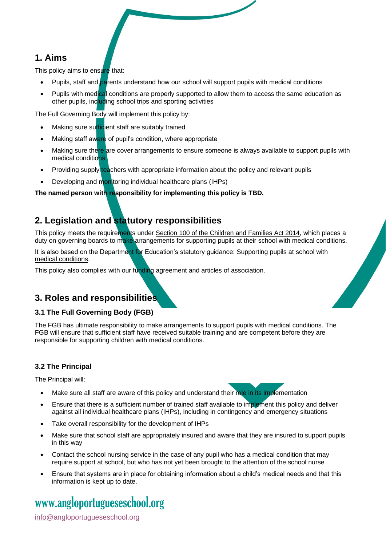#### **1. Aims**

This policy aims to ensure that:

- Pupils, staff and parents understand how our school will support pupils with medical conditions
- Pupils with medical conditions are properly supported to allow them to access the same education as other pupils, including school trips and sporting activities

The Full Governing Body will implement this policy by:

- Making sure sufficient staff are suitably trained
- Making staff aware of pupil's condition, where appropriate
- Making sure there are cover arrangements to ensure someone is always available to support pupils with medical conditions
- Providing supply teachers with appropriate information about the policy and relevant pupils
- Developing and monitoring individual healthcare plans (IHPs)

**The named person with responsibility for implementing this policy is TBD.**

### **2. Legislation and statutory responsibilities**

This policy meets the requirements under [Section 100 of the Children and Families Act 2014,](http://www.legislation.gov.uk/ukpga/2014/6/part/5/crossheading/pupils-with-medical-conditions) which places a duty on governing boards to make arrangements for supporting pupils at their school with medical conditions.

It is also based on the Department for Education's statutory guidance: Supporting pupils at school with [medical conditions.](https://www.gov.uk/government/uploads/system/uploads/attachment_data/file/484418/supporting-pupils-at-school-with-medical-conditions.pdf)

This policy also complies with our funding agreement and articles of association.

### **3. Roles and responsibilities**

#### **3.1 The Full Governing Body (FGB)**

The FGB has ultimate responsibility to make arrangements to support pupils with medical conditions. The FGB will ensure that sufficient staff have received suitable training and are competent before they are responsible for supporting children with medical conditions.

#### **3.2 The Principal**

The Principal will:

- Make sure all staff are aware of this policy and understand their role in its implementation
- Ensure that there is a sufficient number of trained staff available to implement this policy and deliver against all individual healthcare plans (IHPs), including in contingency and emergency situations
- Take overall responsibility for the development of IHPs
- Make sure that school staff are appropriately insured and aware that they are insured to support pupils in this way
- Contact the school nursing service in the case of any pupil who has a medical condition that may require support at school, but who has not yet been brought to the attention of the school nurse
- Ensure that systems are in place for obtaining information about a child's medical needs and that this information is kept up to date.

## www[.angloportugueseschool.org](https://angloportugueseschool.org/)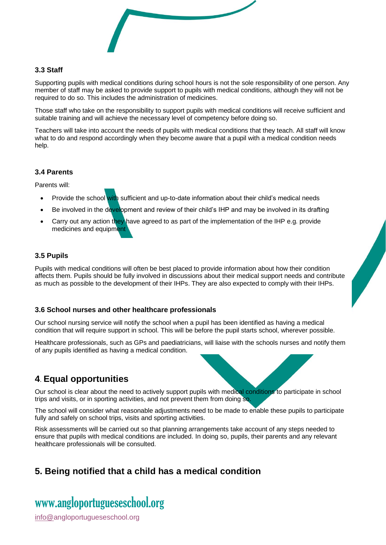

#### **3.3 Staff**

Supporting pupils with medical conditions during school hours is not the sole responsibility of one person. Any member of staff may be asked to provide support to pupils with medical conditions, although they will not be required to do so. This includes the administration of medicines.

Those staff who take on the responsibility to support pupils with medical conditions will receive sufficient and suitable training and will achieve the necessary level of competency before doing so.

Teachers will take into account the needs of pupils with medical conditions that they teach. All staff will know what to do and respond accordingly when they become aware that a pupil with a medical condition needs help.

#### **3.4 Parents**

Parents will:

- Provide the school with sufficient and up-to-date information about their child's medical needs
- Be involved in the development and review of their child's IHP and may be involved in its drafting
- Carry out any action they have agreed to as part of the implementation of the IHP e.g. provide medicines and equipment

#### **3.5 Pupils**

Pupils with medical conditions will often be best placed to provide information about how their condition affects them. Pupils should be fully involved in discussions about their medical support needs and contribute as much as possible to the development of their IHPs. They are also expected to comply with their IHPs.

#### **3.6 School nurses and other healthcare professionals**

Our school nursing service will notify the school when a pupil has been identified as having a medical condition that will require support in school. This will be before the pupil starts school, wherever possible.

Healthcare professionals, such as GPs and paediatricians, will liaise with the schools nurses and notify them of any pupils identified as having a medical condition.

#### **4**. **Equal opportunities**

Our school is clear about the need to actively support pupils with medical conditions to participate in school trips and visits, or in sporting activities, and not prevent them from doing so.

The school will consider what reasonable adjustments need to be made to enable these pupils to participate fully and safely on school trips, visits and sporting activities.

Risk assessments will be carried out so that planning arrangements take account of any steps needed to ensure that pupils with medical conditions are included. In doing so, pupils, their parents and any relevant healthcare professionals will be consulted.

### **5. Being notified that a child has a medical condition**

## www[.angloportugueseschool.org](https://angloportugueseschool.org/)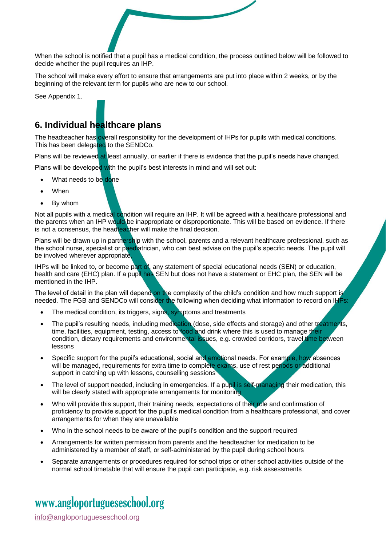When the school is notified that a pupil has a medical condition, the process outlined below will be followed to decide whether the pupil requires an IHP.

The school will make every effort to ensure that arrangements are put into place within 2 weeks, or by the beginning of the relevant term for pupils who are new to our school.

See Appendix 1.

### **6. Individual healthcare plans**

The headteacher has overall responsibility for the development of IHPs for pupils with medical conditions. This has been delegated to the SENDCo.

Plans will be reviewed at least annually, or earlier if there is evidence that the pupil's needs have changed.

Plans will be developed with the pupil's best interests in mind and will set out:

- What needs to be done
- **When**
- By whom

Not all pupils with a medical condition will require an IHP. It will be agreed with a healthcare professional and the parents when an IHP would be inappropriate or disproportionate. This will be based on evidence. If there is not a consensus, the headteacher will make the final decision.

Plans will be drawn up in partnership with the school, parents and a relevant healthcare professional, such as the school nurse, specialist or paediatrician, who can best advise on the pupil's specific needs. The pupil will be involved wherever appropriate.

IHPs will be linked to, or become part of, any statement of special educational needs (SEN) or education, health and care (EHC) plan. If a pupil has SEN but does not have a statement or EHC plan, the SEN will be mentioned in the IHP.

The level of detail in the plan will depend on the complexity of the child's condition and how much support is needed. The FGB and SENDCo will consider the following when deciding what information to record on IHPs:

- The medical condition, its triggers, signs, symptoms and treatments
- The pupil's resulting needs, including medication (dose, side effects and storage) and other treatments, time, facilities, equipment, testing, access to food and drink where this is used to manage their condition, dietary requirements and environmental issues, e.g. crowded corridors, travel time between lessons
- Specific support for the pupil's educational, social and emotional needs. For example, how absences will be managed, requirements for extra time to complete exams, use of rest periods or additional support in catching up with lessons, counselling sessions
- The level of support needed, including in emergencies. If a pupil is self-managing their medication, this will be clearly stated with appropriate arrangements for monitoring
- Who will provide this support, their training needs, expectations of their role and confirmation of proficiency to provide support for the pupil's medical condition from a healthcare professional, and cover arrangements for when they are unavailable
- Who in the school needs to be aware of the pupil's condition and the support required
- Arrangements for written permission from parents and the headteacher for medication to be administered by a member of staff, or self-administered by the pupil during school hours
- Separate arrangements or procedures required for school trips or other school activities outside of the normal school timetable that will ensure the pupil can participate, e.g. risk assessments

## www[.angloportugueseschool.org](https://angloportugueseschool.org/)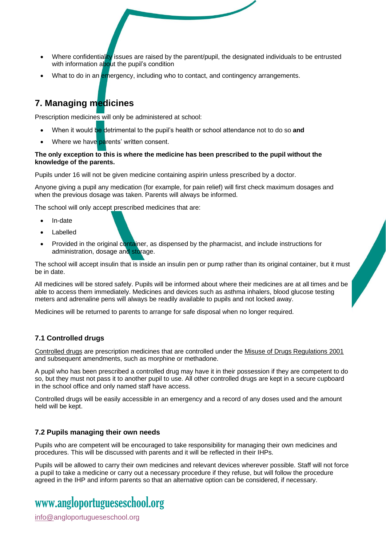- Where confidentiality issues are raised by the parent/pupil, the designated individuals to be entrusted with information about the pupil's condition
- What to do in an emergency, including who to contact, and contingency arrangements.

### **7. Managing medicines**

Prescription medicines will only be administered at school:

- When it would be detrimental to the pupil's health or school attendance not to do so **and**
- Where we have parents' written consent.

#### **The only exception to this is where the medicine has been prescribed to the pupil without the knowledge of the parents.**

Pupils under 16 will not be given medicine containing aspirin unless prescribed by a doctor.

Anyone giving a pupil any medication (for example, for pain relief) will first check maximum dosages and when the previous dosage was taken. Parents will always be informed.

The school will only accept prescribed medicines that are:

- In-date
- Labelled
- Provided in the original container, as dispensed by the pharmacist, and include instructions for administration, dosage and storage.

The school will accept insulin that is inside an insulin pen or pump rather than its original container, but it must be in date.

All medicines will be stored safely. Pupils will be informed about where their medicines are at all times and be able to access them immediately. Medicines and devices such as asthma inhalers, blood glucose testing meters and adrenaline pens will always be readily available to pupils and not locked away.

Medicines will be returned to parents to arrange for safe disposal when no longer required.

#### **7.1 Controlled drugs**

[Controlled drugs](http://www.nhs.uk/chq/Pages/1391.aspx?CategoryID=73) are prescription medicines that are controlled under the [Misuse of Drugs Regulations 2001](http://www.legislation.gov.uk/uksi/2001/3998/schedule/1/made) and subsequent amendments, such as morphine or methadone.

A pupil who has been prescribed a controlled drug may have it in their possession if they are competent to do so, but they must not pass it to another pupil to use. All other controlled drugs are kept in a secure cupboard in the school office and only named staff have access.

Controlled drugs will be easily accessible in an emergency and a record of any doses used and the amount held will be kept.

#### **7.2 Pupils managing their own needs**

Pupils who are competent will be encouraged to take responsibility for managing their own medicines and procedures. This will be discussed with parents and it will be reflected in their IHPs.

Pupils will be allowed to carry their own medicines and relevant devices wherever possible. Staff will not force a pupil to take a medicine or carry out a necessary procedure if they refuse, but will follow the procedure agreed in the IHP and inform parents so that an alternative option can be considered, if necessary.

## www[.angloportugueseschool.org](https://angloportugueseschool.org/)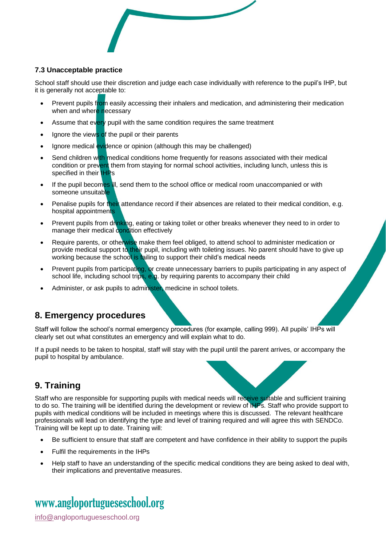

#### **7.3 Unacceptable practice**

School staff should use their discretion and judge each case individually with reference to the pupil's IHP, but it is generally not acceptable to:

- Prevent pupils from easily accessing their inhalers and medication, and administering their medication when and where necessary
- Assume that every pupil with the same condition requires the same treatment
- Ignore the views of the pupil or their parents
- Ignore medical evidence or opinion (although this may be challenged)
- Send children with medical conditions home frequently for reasons associated with their medical condition or prevent them from staying for normal school activities, including lunch, unless this is specified in their **IHPs**
- If the pupil becomes ill, send them to the school office or medical room unaccompanied or with someone unsuitable
- Penalise pupils for their attendance record if their absences are related to their medical condition, e.g. hospital appointments
- Prevent pupils from drinking, eating or taking toilet or other breaks whenever they need to in order to manage their medical condition effectively
- Require parents, or otherwise make them feel obliged, to attend school to administer medication or provide medical support to their pupil, including with toileting issues. No parent should have to give up working because the school is failing to support their child's medical needs
- Prevent pupils from participating, or create unnecessary barriers to pupils participating in any aspect of school life, including school trips, e.g. by requiring parents to accompany their child
- Administer, or ask pupils to administer, medicine in school toilets.

### **8. Emergency procedures**

Staff will follow the school's normal emergency procedures (for example, calling 999). All pupils' IHPs will clearly set out what constitutes an emergency and will explain what to do.

If a pupil needs to be taken to hospital, staff will stay with the pupil until the parent arrives, or accompany the pupil to hospital by ambulance.

### **9. Training**

Staff who are responsible for supporting pupils with medical needs will receive suitable and sufficient training to do so. The training will be identified during the development or review of IHPs. Staff who provide support to pupils with medical conditions will be included in meetings where this is discussed. The relevant healthcare professionals will lead on identifying the type and level of training required and will agree this with SENDCo. Training will be kept up to date. Training will:

- Be sufficient to ensure that staff are competent and have confidence in their ability to support the pupils
- Fulfil the requirements in the IHPs
- Help staff to have an understanding of the specific medical conditions they are being asked to deal with, their implications and preventative measures.

## www[.angloportugueseschool.org](https://angloportugueseschool.org/)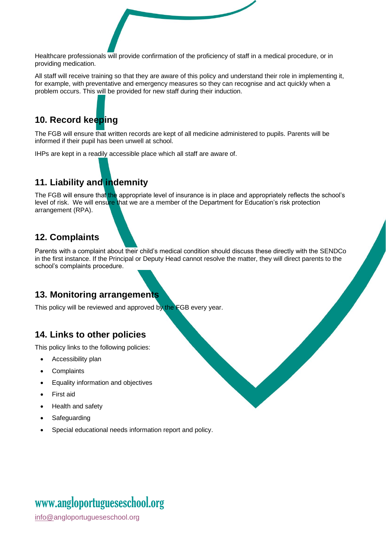Healthcare professionals will provide confirmation of the proficiency of staff in a medical procedure, or in providing medication.

All staff will receive training so that they are aware of this policy and understand their role in implementing it, for example, with preventative and emergency measures so they can recognise and act quickly when a problem occurs. This will be provided for new staff during their induction.

### **10. Record keeping**

The FGB will ensure that written records are kept of all medicine administered to pupils. Parents will be informed if their pupil has been unwell at school.

IHPs are kept in a readily accessible place which all staff are aware of.

### **11. Liability and indemnity**

The FGB will ensure that the appropriate level of insurance is in place and appropriately reflects the school's level of risk. We will ensure that we are a member of the Department for Education's risk protection arrangement (RPA).

#### **12. Complaints**

Parents with a complaint about their child's medical condition should discuss these directly with the SENDCo in the first instance. If the Principal or Deputy Head cannot resolve the matter, they will direct parents to the school's complaints procedure.

### **13. Monitoring arrangements**

This policy will be reviewed and approved by the FGB every year.

#### **14. Links to other policies**

This policy links to the following policies:

- Accessibility plan
- **Complaints**
- Equality information and objectives
- First aid
- Health and safety
- **Safeguarding**
- Special educational needs information report and policy.

### www[.angloportugueseschool.org](https://angloportugueseschool.org/)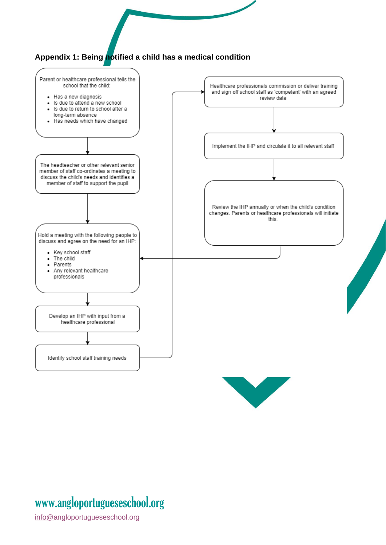



## www[.angloportugueseschool.org](https://angloportugueseschool.org/)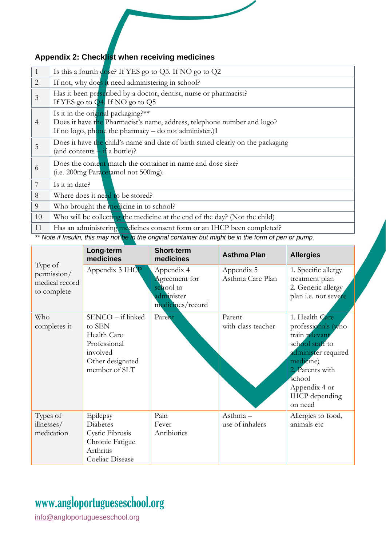### **Appendix 2: Checklist when receiving medicines**

| 1              | Is this a fourth dose? If YES go to Q3. If NO go to Q2                          |
|----------------|---------------------------------------------------------------------------------|
| $\overline{2}$ | If not, why does it need administering in school?                               |
| $\mathfrak{Z}$ | Has it been prescribed by a doctor, dentist, nurse or pharmacist?               |
|                | If YES go to $\overline{Q4}$ . If NO go to $Q5$                                 |
|                | Is it in the original packaging?**                                              |
| $\overline{4}$ | Does it have the Pharmacist's name, address, telephone number and logo?         |
|                | If no logo, phone the pharmacy $-$ do not administer.)1                         |
|                | Does it have the child's name and date of birth stated clearly on the packaging |
| 5              | (and contents $-\text{ if } a \text{ bottle}$ )?                                |
|                | Does the content match the container in name and dose size?                     |
| 6              | (i.e. 200mg Paracetamol not 500mg).                                             |
| 7              | Is it in date?                                                                  |
|                |                                                                                 |
| 8              | Where does it need to be stored?                                                |
| 9              | Who brought the medicine in to school?                                          |
| 10             | Who will be collecting the medicine at the end of the day? (Not the child)      |
| 11             | Has an administering medicines consent form or an IHCP been completed?          |

*\*\* Note if Insulin, this may not be in the original container but might be in the form of pen or pump.* 

|                                                         | Long-term<br>medicines                                                                                      | <b>Short-term</b><br>medicines                                             | <b>Asthma Plan</b>             | <b>Allergies</b>                                                                                                                                                                                |
|---------------------------------------------------------|-------------------------------------------------------------------------------------------------------------|----------------------------------------------------------------------------|--------------------------------|-------------------------------------------------------------------------------------------------------------------------------------------------------------------------------------------------|
| Type of<br>permission/<br>medical record<br>to complete | Appendix 3 IHCP                                                                                             | Appendix 4<br>Agreement for<br>school to<br>administer<br>medicines/record | Appendix 5<br>Asthma Care Plan | 1. Specific allergy<br>treatment plan<br>2. Generic allergy<br>plan i.e. not severe                                                                                                             |
| Who<br>completes it                                     | SENCO - if linked<br>to SEN<br>Health Care<br>Professional<br>involved<br>Other designated<br>member of SLT | Parent                                                                     | Parent<br>with class teacher   | 1. Health Care<br>professionals (who<br>train relevant<br>school staff to<br>administer required<br>medicine)<br>2. Parents with<br>school<br>Appendix 4 or<br><b>IHCP</b> depending<br>on need |
| Types of<br>illnesses/<br>medication                    | Epilepsy<br>Diabetes<br>Cystic Fibrosis<br>Chronic Fatigue<br>Arthritis<br>Coeliac Disease                  | Pain<br>Fever<br>Antibiotics                                               | Asthma-<br>use of inhalers     | Allergies to food,<br>animals etc                                                                                                                                                               |

## www[.angloportugueseschool.org](https://angloportugueseschool.org/)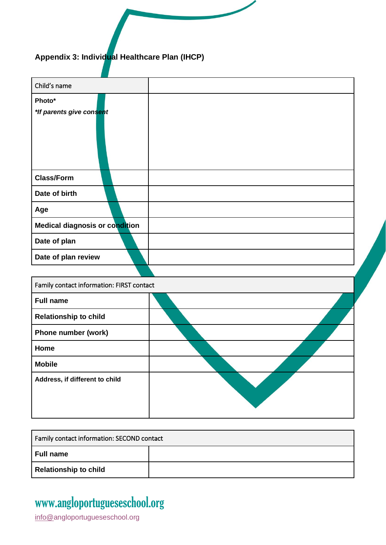### **Appendix 3: Individual Healthcare Plan (IHCP)**

| Child's name                              |  |
|-------------------------------------------|--|
|                                           |  |
| Photo*                                    |  |
| *If parents give consent                  |  |
|                                           |  |
|                                           |  |
| <b>Class/Form</b>                         |  |
| Date of birth                             |  |
| Age                                       |  |
| Medical diagnosis or condition            |  |
| Date of plan                              |  |
| Date of plan review                       |  |
|                                           |  |
| Family contact information: FIRST contact |  |
| <b>Full name</b>                          |  |
| <b>Relationship to child</b>              |  |
| Phone number (work)                       |  |
| Home                                      |  |
| <b>Mobile</b>                             |  |
| Address, if different to child            |  |
|                                           |  |
|                                           |  |

| Family contact information: SECOND contact |  |  |
|--------------------------------------------|--|--|
| Full name                                  |  |  |
| Relationship to child                      |  |  |

## www[.angloportugueseschool.org](https://angloportugueseschool.org/)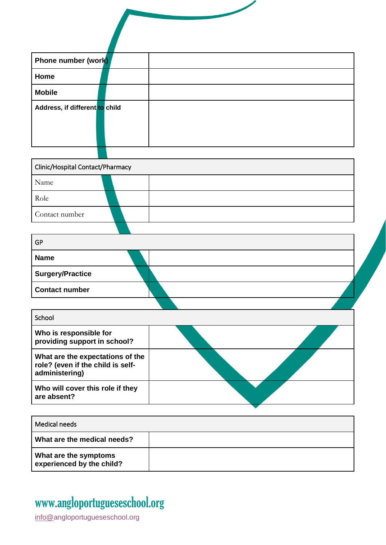| Phone number (work)                                                                     |  |
|-----------------------------------------------------------------------------------------|--|
| Home                                                                                    |  |
| <b>Mobile</b>                                                                           |  |
| Address, if different to child                                                          |  |
| Clinic/Hospital Contact/Pharmacy                                                        |  |
| Name                                                                                    |  |
| Role                                                                                    |  |
| Contact number                                                                          |  |
|                                                                                         |  |
| <b>GP</b>                                                                               |  |
| <b>Name</b>                                                                             |  |
| <b>Surgery/Practice</b>                                                                 |  |
| <b>Contact number</b>                                                                   |  |
|                                                                                         |  |
| School                                                                                  |  |
| Who is responsible for<br>providing support in school?                                  |  |
| What are the expectations of the<br>role? (even if the child is self-<br>administering) |  |
| Who will cover this role if they<br>are absent?                                         |  |
|                                                                                         |  |
| <b>Medical needs</b>                                                                    |  |
| What are the medical needs?                                                             |  |
| What are the symptoms<br>experienced by the child?                                      |  |

## www[.angloportugueseschool.org](https://angloportugueseschool.org/)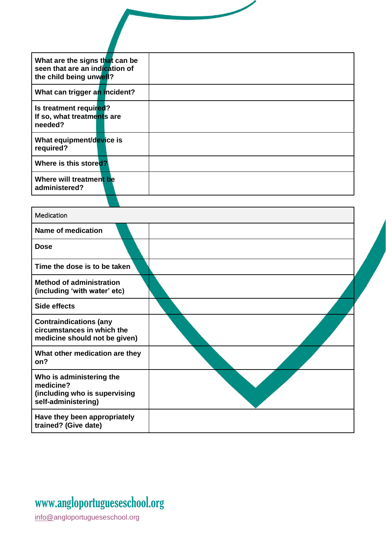| What are the signs that can be<br>seen that are an indication of<br>the child being unwell? |
|---------------------------------------------------------------------------------------------|
| What can trigger an incident?                                                               |
| Is treatment required?<br>If so, what treatments are<br>needed?                             |
| What equipment/device is<br>required?                                                       |
| Where is this stored?                                                                       |
| Where will treatment be<br>administered?                                                    |
|                                                                                             |

| Medication                                                                                    |  |
|-----------------------------------------------------------------------------------------------|--|
| Name of medication                                                                            |  |
| Dose                                                                                          |  |
| Time the dose is to be taken                                                                  |  |
| <b>Method of administration</b><br>(including 'with water' etc)                               |  |
| Side effects                                                                                  |  |
| <b>Contraindications (any</b><br>circumstances in which the<br>medicine should not be given)  |  |
| What other medication are they<br>on?                                                         |  |
| Who is administering the<br>medicine?<br>(including who is supervising<br>self-administering) |  |
| Have they been appropriately<br>trained? (Give date)                                          |  |

## www[.angloportugueseschool.org](https://angloportugueseschool.org/)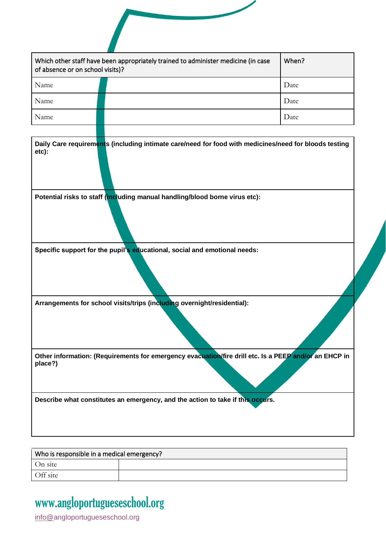| Which other staff have been appropriately trained to administer medicine (in case<br>of absence or on school visits)? | When? |
|-----------------------------------------------------------------------------------------------------------------------|-------|
| Name                                                                                                                  | Date  |
| Name                                                                                                                  | Date  |
| Name                                                                                                                  | Date  |
|                                                                                                                       |       |
| Potential risks to staff (including manual handling/blood borne virus etc):                                           |       |
|                                                                                                                       |       |
|                                                                                                                       |       |
| Specific support for the pupil's educational, social and emotional needs:                                             |       |
| Arrangements for school visits/trips (including overnight/residential):                                               |       |
| Other information: (Requirements for emergency evacuation/fire drill etc. Is a PEEP and/or an EHCP in<br>place?)      |       |

#### Who is responsible in a medical emerg $\epsilon$ On site Off site

## www[.angloportugueseschool.org](https://angloportugueseschool.org/)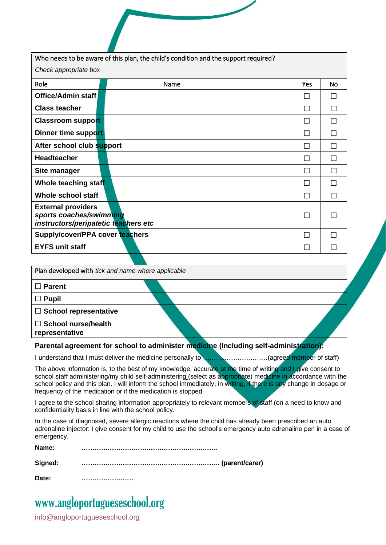| Who needs to be aware of this plan, the child's condition and the support required?          |  |      |              |    |
|----------------------------------------------------------------------------------------------|--|------|--------------|----|
| Check appropriate box                                                                        |  |      |              |    |
| Role                                                                                         |  | Name | Yes          | No |
| Office/Admin staff                                                                           |  |      |              |    |
| <b>Class teacher</b>                                                                         |  |      | $\mathsf{L}$ |    |
| <b>Classroom support</b>                                                                     |  |      | $\mathsf{L}$ | L  |
| Dinner time support                                                                          |  |      |              | П  |
| After school club support                                                                    |  |      |              |    |
| <b>Headteacher</b>                                                                           |  |      | П            |    |
| Site manager                                                                                 |  |      | $\mathsf{L}$ | П  |
| Whole teaching staff                                                                         |  |      |              |    |
| Whole school staff                                                                           |  |      |              |    |
| <b>External providers</b><br>sports coaches/swimming<br>instructors/peripatetic teachers etc |  |      |              |    |
| Supply/cover/PPA cover teachers                                                              |  |      |              |    |
| <b>EYFS unit staff</b>                                                                       |  |      |              |    |

| Plan developed with tick and name where applicable |  |
|----------------------------------------------------|--|
| $\Box$ Parent                                      |  |
| $\Box$ Pupil                                       |  |
| $\Box$ School representative                       |  |
| $\Box$ School nurse/health<br>representative       |  |

#### **Parental agreement for school to administer medicine (Including self-administration):**

I understand that I must deliver the medicine personally to **with the intermal agreed member** of staff)

The above information is, to the best of my knowledge, accurate at the time of writing and I give consent to school staff administering/my child self-administering (select as appropriate) medicine in accordance with the school policy and this plan. I will inform the school immediately, in writing, if there is any change in dosage or frequency of the medication or if the medication is stopped.

I agree to the school sharing information appropriately to relevant members of staff (on a need to know and confidentiality basis in line with the school policy.

In the case of diagnosed, severe allergic reactions where the child has already been prescribed an auto adrenaline injector: I give consent for my child to use the school's emergency auto adrenaline pen in a case of emergency.

**Name: ………………………………………………………**

**Signed: ………………………………………………………. (parent/carer)**

**Date: ……………………**

## www[.angloportugueseschool.org](https://angloportugueseschool.org/)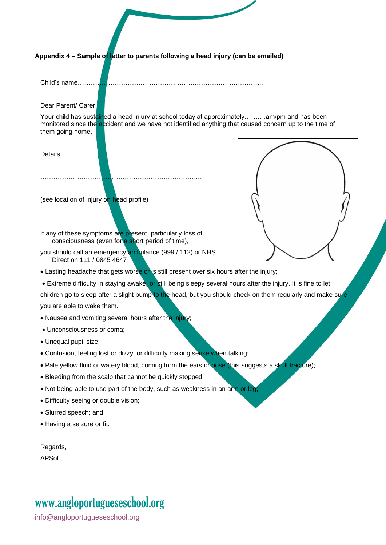**Appendix 4 – Sample of letter to parents following a head injury (can be emailed)**

Child's name…………………………………………………………………………..

Dear Parent/ Carer,

Your child has sustained a head injury at school today at approximately……….am/pm and has been monitored since the accident and we have not identified anything that caused concern up to the time of them going home.

(see location of injury on head profile)

If any of these symptoms are present, particularly loss of consciousness (even for a short period of time),

you should call an emergency ambulance (999 / 112) or NHS Direct on 111 / 0845 4647



- Lasting headache that gets worse or is still present over six hours after the injury;
- Extreme difficulty in staying awake, or still being sleepy several hours after the injury. It is fine to let

children go to sleep after a slight bump to the head, but you should check on them regularly and make sure you are able to wake them.

- Nausea and vomiting several hours after the injury;
- Unconsciousness or coma;
- Unequal pupil size;
- Confusion, feeling lost or dizzy, or difficulty making sense when talking;
- Pale yellow fluid or watery blood, coming from the ears or nose (this suggests a skull fracture);
- Bleeding from the scalp that cannot be quickly stopped;
- Not being able to use part of the body, such as weakness in an arm or leg;
- Difficulty seeing or double vision;
- Slurred speech; and
- Having a seizure or fit.

| Regards, |  |
|----------|--|
| APSoL    |  |

## www[.angloportugueseschool.org](https://angloportugueseschool.org/)